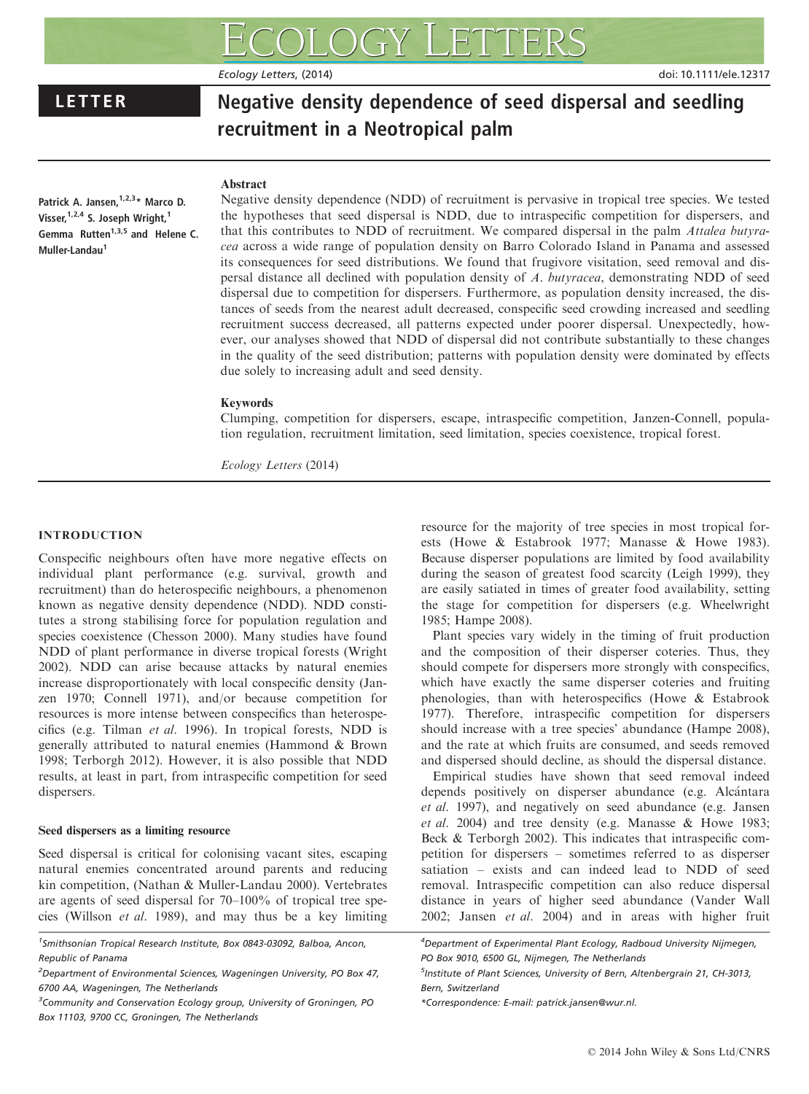Ecology Letters, (2014) doi: 10.1111/ele.12317

LETTER Negative density dependence of seed dispersal and seedling recruitment in a Neotropical palm

# Abstract

Patrick A. Jansen, <sup>1,2,3</sup>\* Marco D. Visser, 1,2,4 S. Joseph Wright,<sup>1</sup> Gemma Rutten<sup>1,3,5</sup> and Helene C. Muller-Landau<sup>1</sup>

Negative density dependence (NDD) of recruitment is pervasive in tropical tree species. We tested the hypotheses that seed dispersal is NDD, due to intraspecific competition for dispersers, and that this contributes to NDD of recruitment. We compared dispersal in the palm Attalea butyracea across a wide range of population density on Barro Colorado Island in Panama and assessed its consequences for seed distributions. We found that frugivore visitation, seed removal and dispersal distance all declined with population density of A. butyracea, demonstrating NDD of seed dispersal due to competition for dispersers. Furthermore, as population density increased, the distances of seeds from the nearest adult decreased, conspecific seed crowding increased and seedling recruitment success decreased, all patterns expected under poorer dispersal. Unexpectedly, however, our analyses showed that NDD of dispersal did not contribute substantially to these changes in the quality of the seed distribution; patterns with population density were dominated by effects due solely to increasing adult and seed density.

## Keywords

Clumping, competition for dispersers, escape, intraspecific competition, Janzen-Connell, population regulation, recruitment limitation, seed limitation, species coexistence, tropical forest.

Ecology Letters (2014)

## INTRODUCTION

Conspecific neighbours often have more negative effects on individual plant performance (e.g. survival, growth and recruitment) than do heterospecific neighbours, a phenomenon known as negative density dependence (NDD). NDD constitutes a strong stabilising force for population regulation and species coexistence (Chesson 2000). Many studies have found NDD of plant performance in diverse tropical forests (Wright 2002). NDD can arise because attacks by natural enemies increase disproportionately with local conspecific density (Janzen 1970; Connell 1971), and/or because competition for resources is more intense between conspecifics than heterospecifics (e.g. Tilman et al. 1996). In tropical forests, NDD is generally attributed to natural enemies (Hammond & Brown 1998; Terborgh 2012). However, it is also possible that NDD results, at least in part, from intraspecific competition for seed dispersers.

## Seed dispersers as a limiting resource

Seed dispersal is critical for colonising vacant sites, escaping natural enemies concentrated around parents and reducing kin competition, (Nathan & Muller-Landau 2000). Vertebrates are agents of seed dispersal for 70–100% of tropical tree species (Willson et al. 1989), and may thus be a key limiting

<sup>1</sup>Smithsonian Tropical Research Institute, Box 0843-03092, Balboa, Ancon, Republic of Panama

resource for the majority of tree species in most tropical forests (Howe & Estabrook 1977; Manasse & Howe 1983). Because disperser populations are limited by food availability during the season of greatest food scarcity (Leigh 1999), they are easily satiated in times of greater food availability, setting the stage for competition for dispersers (e.g. Wheelwright 1985; Hampe 2008).

Plant species vary widely in the timing of fruit production and the composition of their disperser coteries. Thus, they should compete for dispersers more strongly with conspecifics, which have exactly the same disperser coteries and fruiting phenologies, than with heterospecifics (Howe & Estabrook 1977). Therefore, intraspecific competition for dispersers should increase with a tree species' abundance (Hampe 2008), and the rate at which fruits are consumed, and seeds removed and dispersed should decline, as should the dispersal distance.

Empirical studies have shown that seed removal indeed depends positively on disperser abundance (e.g. Alcántara et al. 1997), and negatively on seed abundance (e.g. Jansen et al. 2004) and tree density (e.g. Manasse & Howe 1983; Beck & Terborgh 2002). This indicates that intraspecific competition for dispersers – sometimes referred to as disperser satiation – exists and can indeed lead to NDD of seed removal. Intraspecific competition can also reduce dispersal distance in years of higher seed abundance (Vander Wall 2002; Jansen et al. 2004) and in areas with higher fruit

<sup>&</sup>lt;sup>2</sup>Department of Environmental Sciences, Wageningen University, PO Box 47, 6700 AA, Wageningen, The Netherlands

<sup>&</sup>lt;sup>3</sup>Community and Conservation Ecology group, University of Groningen, PO Box 11103, 9700 CC, Groningen, The Netherlands

<sup>&</sup>lt;sup>4</sup>Department of Experimental Plant Ecology, Radboud University Nijmegen, PO Box 9010, 6500 GL, Nijmegen, The Netherlands

<sup>&</sup>lt;sup>5</sup>Institute of Plant Sciences, University of Bern, Altenbergrain 21, CH-3013, Bern, Switzerland

<sup>\*</sup>Correspondence: E-mail: patrick.jansen@wur.nl.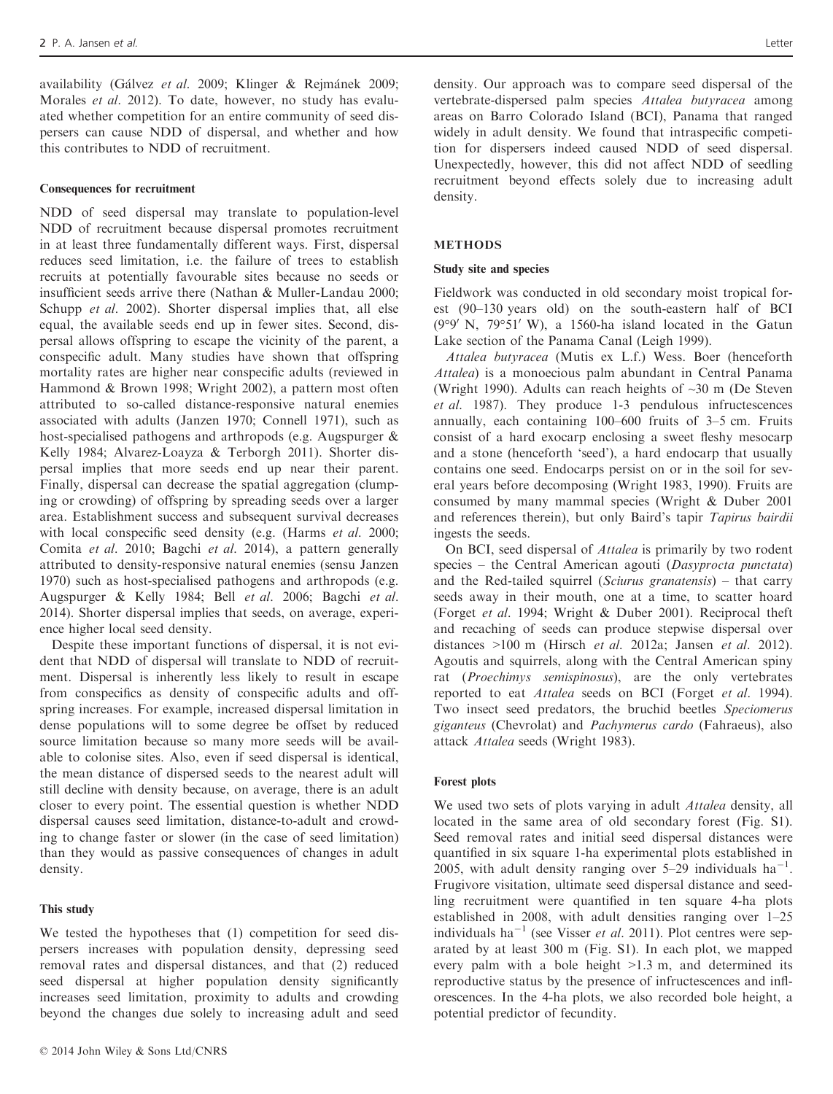availability (Gálvez et al. 2009; Klinger & Rejmánek 2009; Morales et al. 2012). To date, however, no study has evaluated whether competition for an entire community of seed dispersers can cause NDD of dispersal, and whether and how this contributes to NDD of recruitment.

## Consequences for recruitment

NDD of seed dispersal may translate to population-level NDD of recruitment because dispersal promotes recruitment in at least three fundamentally different ways. First, dispersal reduces seed limitation, i.e. the failure of trees to establish recruits at potentially favourable sites because no seeds or insufficient seeds arrive there (Nathan & Muller-Landau 2000; Schupp et al. 2002). Shorter dispersal implies that, all else equal, the available seeds end up in fewer sites. Second, dispersal allows offspring to escape the vicinity of the parent, a conspecific adult. Many studies have shown that offspring mortality rates are higher near conspecific adults (reviewed in Hammond & Brown 1998; Wright 2002), a pattern most often attributed to so-called distance-responsive natural enemies associated with adults (Janzen 1970; Connell 1971), such as host-specialised pathogens and arthropods (e.g. Augspurger & Kelly 1984; Alvarez-Loayza & Terborgh 2011). Shorter dispersal implies that more seeds end up near their parent. Finally, dispersal can decrease the spatial aggregation (clumping or crowding) of offspring by spreading seeds over a larger area. Establishment success and subsequent survival decreases with local conspecific seed density (e.g. (Harms et al. 2000; Comita et al. 2010; Bagchi et al. 2014), a pattern generally attributed to density-responsive natural enemies (sensu Janzen 1970) such as host-specialised pathogens and arthropods (e.g. Augspurger & Kelly 1984; Bell et al. 2006; Bagchi et al. 2014). Shorter dispersal implies that seeds, on average, experience higher local seed density.

Despite these important functions of dispersal, it is not evident that NDD of dispersal will translate to NDD of recruitment. Dispersal is inherently less likely to result in escape from conspecifics as density of conspecific adults and offspring increases. For example, increased dispersal limitation in dense populations will to some degree be offset by reduced source limitation because so many more seeds will be available to colonise sites. Also, even if seed dispersal is identical, the mean distance of dispersed seeds to the nearest adult will still decline with density because, on average, there is an adult closer to every point. The essential question is whether NDD dispersal causes seed limitation, distance-to-adult and crowding to change faster or slower (in the case of seed limitation) than they would as passive consequences of changes in adult density.

#### This study

We tested the hypotheses that (1) competition for seed dispersers increases with population density, depressing seed removal rates and dispersal distances, and that (2) reduced seed dispersal at higher population density significantly increases seed limitation, proximity to adults and crowding beyond the changes due solely to increasing adult and seed

density. Our approach was to compare seed dispersal of the vertebrate-dispersed palm species Attalea butyracea among areas on Barro Colorado Island (BCI), Panama that ranged widely in adult density. We found that intraspecific competition for dispersers indeed caused NDD of seed dispersal. Unexpectedly, however, this did not affect NDD of seedling recruitment beyond effects solely due to increasing adult density.

## **METHODS**

#### Study site and species

Fieldwork was conducted in old secondary moist tropical forest (90–130 years old) on the south-eastern half of BCI (9°9' N, 79°51' W), a 1560-ha island located in the Gatun Lake section of the Panama Canal (Leigh 1999).

Attalea butyracea (Mutis ex L.f.) Wess. Boer (henceforth Attalea) is a monoecious palm abundant in Central Panama (Wright 1990). Adults can reach heights of ~30 m (De Steven et al. 1987). They produce 1-3 pendulous infructescences annually, each containing 100–600 fruits of 3–5 cm. Fruits consist of a hard exocarp enclosing a sweet fleshy mesocarp and a stone (henceforth 'seed'), a hard endocarp that usually contains one seed. Endocarps persist on or in the soil for several years before decomposing (Wright 1983, 1990). Fruits are consumed by many mammal species (Wright & Duber 2001 and references therein), but only Baird's tapir Tapirus bairdii ingests the seeds.

On BCI, seed dispersal of Attalea is primarily by two rodent species – the Central American agouti (Dasyprocta punctata) and the Red-tailed squirrel (Sciurus granatensis) – that carry seeds away in their mouth, one at a time, to scatter hoard (Forget et al. 1994; Wright & Duber 2001). Reciprocal theft and recaching of seeds can produce stepwise dispersal over distances >100 m (Hirsch et al. 2012a; Jansen et al. 2012). Agoutis and squirrels, along with the Central American spiny rat (Proechimys semispinosus), are the only vertebrates reported to eat Attalea seeds on BCI (Forget et al. 1994). Two insect seed predators, the bruchid beetles Speciomerus giganteus (Chevrolat) and Pachymerus cardo (Fahraeus), also attack Attalea seeds (Wright 1983).

## Forest plots

We used two sets of plots varying in adult Attalea density, all located in the same area of old secondary forest (Fig. S1). Seed removal rates and initial seed dispersal distances were quantified in six square 1-ha experimental plots established in 2005, with adult density ranging over  $5-29$  individuals ha<sup>-1</sup>. Frugivore visitation, ultimate seed dispersal distance and seedling recruitment were quantified in ten square 4-ha plots established in 2008, with adult densities ranging over 1–25 individuals ha<sup>-1</sup> (see Visser *et al.* 2011). Plot centres were separated by at least 300 m (Fig. S1). In each plot, we mapped every palm with a bole height >1.3 m, and determined its reproductive status by the presence of infructescences and inflorescences. In the 4-ha plots, we also recorded bole height, a potential predictor of fecundity.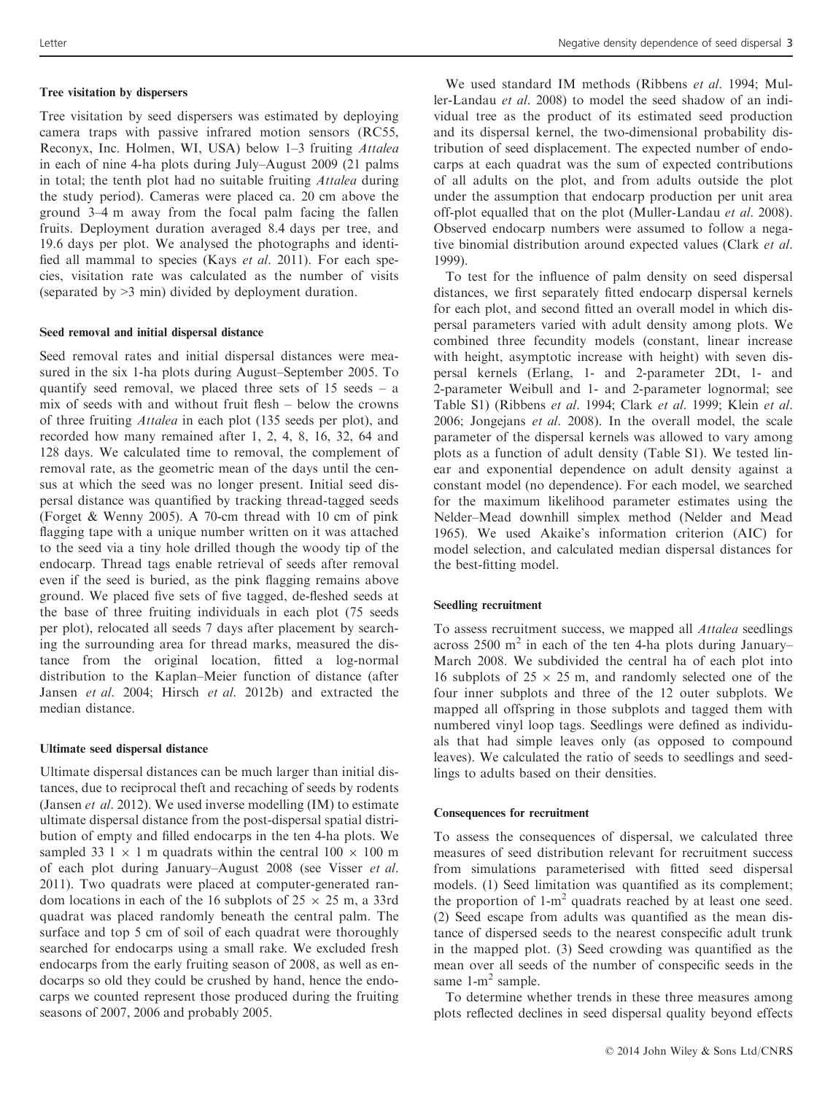## Tree visitation by dispersers

Tree visitation by seed dispersers was estimated by deploying camera traps with passive infrared motion sensors (RC55, Reconyx, Inc. Holmen, WI, USA) below 1–3 fruiting Attalea in each of nine 4-ha plots during July–August 2009 (21 palms in total; the tenth plot had no suitable fruiting Attalea during the study period). Cameras were placed ca. 20 cm above the ground 3–4 m away from the focal palm facing the fallen fruits. Deployment duration averaged 8.4 days per tree, and 19.6 days per plot. We analysed the photographs and identified all mammal to species (Kays et al. 2011). For each species, visitation rate was calculated as the number of visits (separated by >3 min) divided by deployment duration.

## Seed removal and initial dispersal distance

Seed removal rates and initial dispersal distances were measured in the six 1-ha plots during August–September 2005. To quantify seed removal, we placed three sets of 15 seeds – a mix of seeds with and without fruit flesh – below the crowns of three fruiting Attalea in each plot (135 seeds per plot), and recorded how many remained after 1, 2, 4, 8, 16, 32, 64 and 128 days. We calculated time to removal, the complement of removal rate, as the geometric mean of the days until the census at which the seed was no longer present. Initial seed dispersal distance was quantified by tracking thread-tagged seeds (Forget & Wenny 2005). A 70-cm thread with 10 cm of pink flagging tape with a unique number written on it was attached to the seed via a tiny hole drilled though the woody tip of the endocarp. Thread tags enable retrieval of seeds after removal even if the seed is buried, as the pink flagging remains above ground. We placed five sets of five tagged, de-fleshed seeds at the base of three fruiting individuals in each plot (75 seeds per plot), relocated all seeds 7 days after placement by searching the surrounding area for thread marks, measured the distance from the original location, fitted a log-normal distribution to the Kaplan–Meier function of distance (after Jansen et al. 2004; Hirsch et al. 2012b) and extracted the median distance.

## Ultimate seed dispersal distance

Ultimate dispersal distances can be much larger than initial distances, due to reciprocal theft and recaching of seeds by rodents (Jansen et al. 2012). We used inverse modelling  $(IM)$  to estimate ultimate dispersal distance from the post-dispersal spatial distribution of empty and filled endocarps in the ten 4-ha plots. We sampled 33 1  $\times$  1 m quadrats within the central 100  $\times$  100 m of each plot during January–August 2008 (see Visser et al. 2011). Two quadrats were placed at computer-generated random locations in each of the 16 subplots of  $25 \times 25$  m, a 33rd quadrat was placed randomly beneath the central palm. The surface and top 5 cm of soil of each quadrat were thoroughly searched for endocarps using a small rake. We excluded fresh endocarps from the early fruiting season of 2008, as well as endocarps so old they could be crushed by hand, hence the endocarps we counted represent those produced during the fruiting seasons of 2007, 2006 and probably 2005.

We used standard IM methods (Ribbens et al. 1994; Muller-Landau et al. 2008) to model the seed shadow of an individual tree as the product of its estimated seed production and its dispersal kernel, the two-dimensional probability distribution of seed displacement. The expected number of endocarps at each quadrat was the sum of expected contributions of all adults on the plot, and from adults outside the plot under the assumption that endocarp production per unit area off-plot equalled that on the plot (Muller-Landau et al. 2008). Observed endocarp numbers were assumed to follow a negative binomial distribution around expected values (Clark et al. 1999).

To test for the influence of palm density on seed dispersal distances, we first separately fitted endocarp dispersal kernels for each plot, and second fitted an overall model in which dispersal parameters varied with adult density among plots. We combined three fecundity models (constant, linear increase with height, asymptotic increase with height) with seven dispersal kernels (Erlang, 1- and 2-parameter 2Dt, 1- and 2-parameter Weibull and 1- and 2-parameter lognormal; see Table S1) (Ribbens et al. 1994; Clark et al. 1999; Klein et al. 2006; Jongejans et al. 2008). In the overall model, the scale parameter of the dispersal kernels was allowed to vary among plots as a function of adult density (Table S1). We tested linear and exponential dependence on adult density against a constant model (no dependence). For each model, we searched for the maximum likelihood parameter estimates using the Nelder–Mead downhill simplex method (Nelder and Mead 1965). We used Akaike's information criterion (AIC) for model selection, and calculated median dispersal distances for the best-fitting model.

## Seedling recruitment

To assess recruitment success, we mapped all Attalea seedlings across  $2500 \text{ m}^2$  in each of the ten 4-ha plots during January– March 2008. We subdivided the central ha of each plot into 16 subplots of  $25 \times 25$  m, and randomly selected one of the four inner subplots and three of the 12 outer subplots. We mapped all offspring in those subplots and tagged them with numbered vinyl loop tags. Seedlings were defined as individuals that had simple leaves only (as opposed to compound leaves). We calculated the ratio of seeds to seedlings and seedlings to adults based on their densities.

## Consequences for recruitment

To assess the consequences of dispersal, we calculated three measures of seed distribution relevant for recruitment success from simulations parameterised with fitted seed dispersal models. (1) Seed limitation was quantified as its complement; the proportion of  $1-m^2$  quadrats reached by at least one seed. (2) Seed escape from adults was quantified as the mean distance of dispersed seeds to the nearest conspecific adult trunk in the mapped plot. (3) Seed crowding was quantified as the mean over all seeds of the number of conspecific seeds in the same  $1-m^2$  sample.

To determine whether trends in these three measures among plots reflected declines in seed dispersal quality beyond effects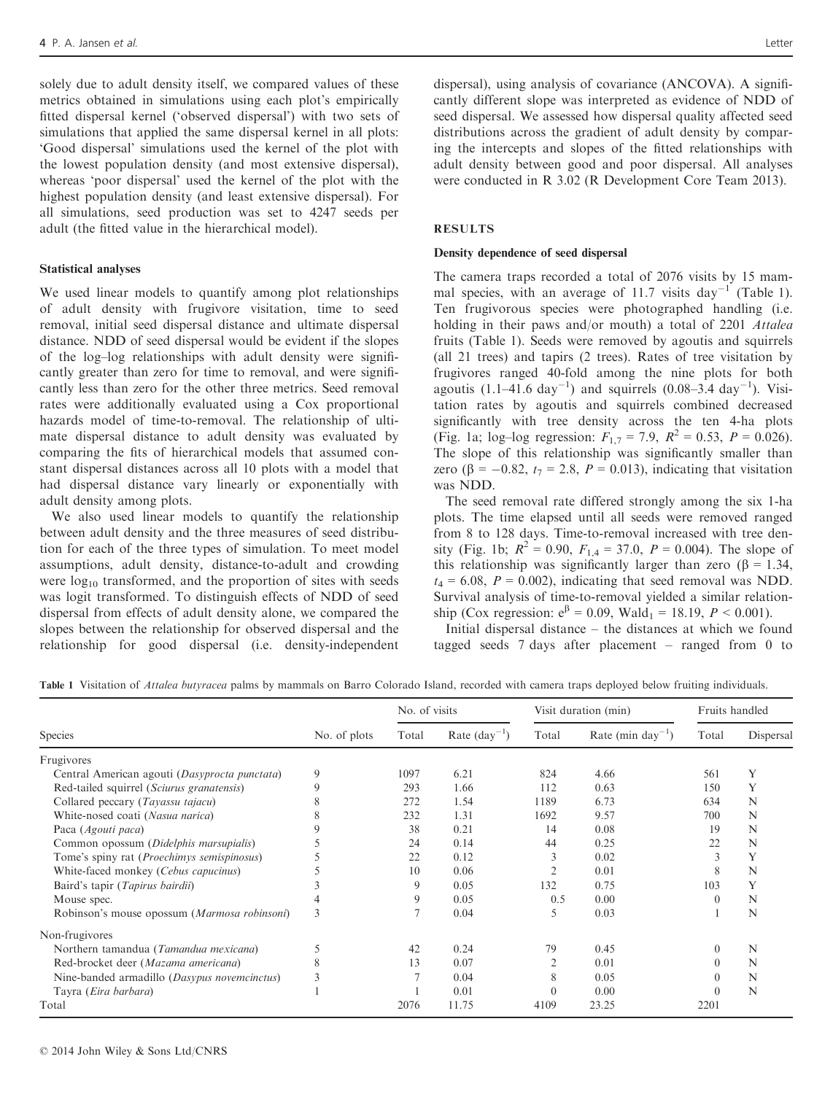solely due to adult density itself, we compared values of these metrics obtained in simulations using each plot's empirically fitted dispersal kernel ('observed dispersal') with two sets of simulations that applied the same dispersal kernel in all plots: 'Good dispersal' simulations used the kernel of the plot with the lowest population density (and most extensive dispersal), whereas 'poor dispersal' used the kernel of the plot with the highest population density (and least extensive dispersal). For all simulations, seed production was set to 4247 seeds per adult (the fitted value in the hierarchical model).

#### Statistical analyses

We used linear models to quantify among plot relationships of adult density with frugivore visitation, time to seed removal, initial seed dispersal distance and ultimate dispersal distance. NDD of seed dispersal would be evident if the slopes of the log–log relationships with adult density were significantly greater than zero for time to removal, and were significantly less than zero for the other three metrics. Seed removal rates were additionally evaluated using a Cox proportional hazards model of time-to-removal. The relationship of ultimate dispersal distance to adult density was evaluated by comparing the fits of hierarchical models that assumed constant dispersal distances across all 10 plots with a model that had dispersal distance vary linearly or exponentially with adult density among plots.

We also used linear models to quantify the relationship between adult density and the three measures of seed distribution for each of the three types of simulation. To meet model assumptions, adult density, distance-to-adult and crowding were  $log_{10}$  transformed, and the proportion of sites with seeds was logit transformed. To distinguish effects of NDD of seed dispersal from effects of adult density alone, we compared the slopes between the relationship for observed dispersal and the relationship for good dispersal (i.e. density-independent

dispersal), using analysis of covariance (ANCOVA). A significantly different slope was interpreted as evidence of NDD of seed dispersal. We assessed how dispersal quality affected seed distributions across the gradient of adult density by comparing the intercepts and slopes of the fitted relationships with adult density between good and poor dispersal. All analyses were conducted in R 3.02 (R Development Core Team 2013).

#### RESULTS

#### Density dependence of seed dispersal

The camera traps recorded a total of 2076 visits by 15 mammal species, with an average of 11.7 visits day<sup>-1</sup> (Table 1). Ten frugivorous species were photographed handling (i.e. holding in their paws and/or mouth) a total of 2201 *Attalea* fruits (Table 1). Seeds were removed by agoutis and squirrels (all 21 trees) and tapirs (2 trees). Rates of tree visitation by frugivores ranged 40-fold among the nine plots for both agoutis  $(1.1-41.6 \text{ day}^{-1})$  and squirrels  $(0.08-3.4 \text{ day}^{-1})$ . Visitation rates by agoutis and squirrels combined decreased significantly with tree density across the ten 4-ha plots (Fig. 1a; log–log regression:  $F_{1,7} = 7.9$ ,  $R^2 = 0.53$ ,  $P = 0.026$ ). The slope of this relationship was significantly smaller than zero ( $\beta = -0.82$ ,  $t_7 = 2.8$ ,  $P = 0.013$ ), indicating that visitation was NDD.

The seed removal rate differed strongly among the six 1-ha plots. The time elapsed until all seeds were removed ranged from 8 to 128 days. Time-to-removal increased with tree density (Fig. 1b;  $R^2 = 0.90$ ,  $F_{1,4} = 37.0$ ,  $P = 0.004$ ). The slope of this relationship was significantly larger than zero ( $\beta$  = 1.34,  $t_4 = 6.08$ ,  $P = 0.002$ ), indicating that seed removal was NDD. Survival analysis of time-to-removal yielded a similar relationship (Cox regression:  $e^{\beta} = 0.09$ , Wald<sub>1</sub> = 18.19, *P* < 0.001).

Initial dispersal distance – the distances at which we found tagged seeds 7 days after placement – ranged from 0 to

|  |  |  |  | Table 1 Visitation of Attalea butyracea palms by mammals on Barro Colorado Island, recorded with camera traps deployed below fruiting individuals. |  |  |  |  |  |  |  |  |  |  |
|--|--|--|--|----------------------------------------------------------------------------------------------------------------------------------------------------|--|--|--|--|--|--|--|--|--|--|
|--|--|--|--|----------------------------------------------------------------------------------------------------------------------------------------------------|--|--|--|--|--|--|--|--|--|--|

|                                                     |              | No. of visits |                          | Visit duration (min) |                               | Fruits handled |           |
|-----------------------------------------------------|--------------|---------------|--------------------------|----------------------|-------------------------------|----------------|-----------|
| Species                                             | No. of plots | Total         | Rate $\text{(day}^{-1})$ | Total                | Rate (min day <sup>-1</sup> ) | Total          | Dispersal |
| Frugivores                                          |              |               |                          |                      |                               |                |           |
| Central American agouti (Dasyprocta punctata)       | 9            | 1097          | 6.21                     | 824                  | 4.66                          | 561            | Y         |
| Red-tailed squirrel (Sciurus granatensis)           | 9            | 293           | 1.66                     | 112                  | 0.63                          | 150            | Y         |
| Collared peccary (Tayassu tajacu)                   |              | 272           | 1.54                     | 1189                 | 6.73                          | 634            | N         |
| White-nosed coati (Nasua narica)                    |              | 232           | 1.31                     | 1692                 | 9.57                          | 700            | N         |
| Paca (Agouti paca)                                  |              | 38            | 0.21                     | 14                   | 0.08                          | 19             | N         |
| Common opossum (Didelphis marsupialis)              |              | 24            | 0.14                     | 44                   | 0.25                          | 22             | N         |
| Tome's spiny rat ( <i>Proechimys semispinosus</i> ) |              | 22            | 0.12                     | 3                    | 0.02                          | 3              | Y         |
| White-faced monkey (Cebus capucinus)                |              | 10            | 0.06                     | 2                    | 0.01                          | 8              | N         |
| Baird's tapir (Tapirus bairdii)                     |              | 9             | 0.05                     | 132                  | 0.75                          | 103            | Y         |
| Mouse spec.                                         |              | 9             | 0.05                     | 0.5                  | 0.00                          | $\Omega$       | N         |
| Robinson's mouse opossum (Marmosa robinsoni)        | 3            |               | 0.04                     | 5                    | 0.03                          |                | N         |
| Non-frugivores                                      |              |               |                          |                      |                               |                |           |
| Northern tamandua (Tamandua mexicana)               | 5            | 42            | 0.24                     | 79                   | 0.45                          | $\Omega$       | N         |
| Red-brocket deer (Mazama americana)                 | 8            | 13            | 0.07                     | 2                    | 0.01                          |                | N         |
| Nine-banded armadillo (Dasypus novemcinctus)        | 3            |               | 0.04                     | 8                    | 0.05                          | $\Omega$       | N         |
| Tayra ( <i>Eira barbara</i> )                       |              |               | 0.01                     | $\Omega$             | 0.00                          | $\Omega$       | N         |
| Total                                               |              | 2076          | 11.75                    | 4109                 | 23.25                         | 2201           |           |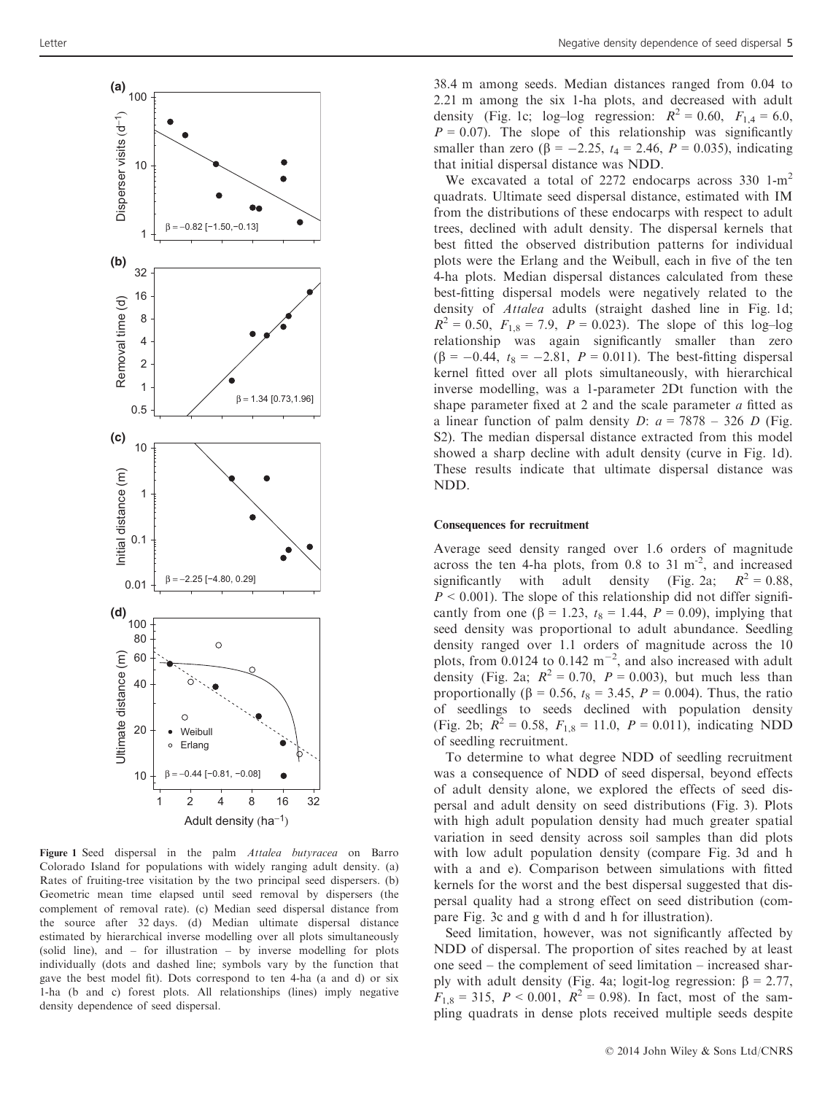

Figure 1 Seed dispersal in the palm Attalea butyracea on Barro Colorado Island for populations with widely ranging adult density. (a) Rates of fruiting-tree visitation by the two principal seed dispersers. (b) Geometric mean time elapsed until seed removal by dispersers (the complement of removal rate). (c) Median seed dispersal distance from the source after 32 days. (d) Median ultimate dispersal distance estimated by hierarchical inverse modelling over all plots simultaneously (solid line), and – for illustration – by inverse modelling for plots individually (dots and dashed line; symbols vary by the function that gave the best model fit). Dots correspond to ten 4-ha (a and d) or six 1-ha (b and c) forest plots. All relationships (lines) imply negative density dependence of seed dispersal.

38.4 m among seeds. Median distances ranged from 0.04 to 2.21 m among the six 1-ha plots, and decreased with adult density (Fig. 1c; log-log regression:  $R^2 = 0.60$ ,  $F_{1,4} = 6.0$ ,  $P = 0.07$ ). The slope of this relationship was significantly smaller than zero ( $\beta = -2.25$ ,  $t_4 = 2.46$ ,  $P = 0.035$ ), indicating that initial dispersal distance was NDD.

We excavated a total of 2272 endocarps across 330 1-m<sup>2</sup> quadrats. Ultimate seed dispersal distance, estimated with IM from the distributions of these endocarps with respect to adult trees, declined with adult density. The dispersal kernels that best fitted the observed distribution patterns for individual plots were the Erlang and the Weibull, each in five of the ten 4-ha plots. Median dispersal distances calculated from these best-fitting dispersal models were negatively related to the density of Attalea adults (straight dashed line in Fig. 1d;  $R^2 = 0.50$ ,  $F_{1,8} = 7.9$ ,  $P = 0.023$ ). The slope of this log-log relationship was again significantly smaller than zero  $(\beta = -0.44, t_8 = -2.81, P = 0.011)$ . The best-fitting dispersal kernel fitted over all plots simultaneously, with hierarchical inverse modelling, was a 1-parameter 2Dt function with the shape parameter fixed at 2 and the scale parameter  $a$  fitted as a linear function of palm density D:  $a = 7878 - 326$  D (Fig. S2). The median dispersal distance extracted from this model showed a sharp decline with adult density (curve in Fig. 1d). These results indicate that ultimate dispersal distance was NDD.

### Consequences for recruitment

Average seed density ranged over 1.6 orders of magnitude across the ten 4-ha plots, from  $0.8$  to  $31 \text{ m}^{-2}$ , and increased significantly with adult density (Fig. 2a;  $R^2 = 0.88$ ,  $P < 0.001$ ). The slope of this relationship did not differ significantly from one ( $\beta = 1.23$ ,  $t_8 = 1.44$ ,  $P = 0.09$ ), implying that seed density was proportional to adult abundance. Seedling density ranged over 1.1 orders of magnitude across the 10 plots, from  $0.0124$  to  $0.142 \text{ m}^{-2}$ , and also increased with adult density (Fig. 2a;  $R^2 = 0.70$ ,  $P = 0.003$ ), but much less than proportionally ( $\beta = 0.56$ ,  $t_8 = 3.45$ ,  $P = 0.004$ ). Thus, the ratio of seedlings to seeds declined with population density (Fig. 2b;  $R^2 = 0.58$ ,  $F_{1,8} = 11.0$ ,  $P = 0.011$ ), indicating NDD of seedling recruitment.

To determine to what degree NDD of seedling recruitment was a consequence of NDD of seed dispersal, beyond effects of adult density alone, we explored the effects of seed dispersal and adult density on seed distributions (Fig. 3). Plots with high adult population density had much greater spatial variation in seed density across soil samples than did plots with low adult population density (compare Fig. 3d and h with a and e). Comparison between simulations with fitted kernels for the worst and the best dispersal suggested that dispersal quality had a strong effect on seed distribution (compare Fig. 3c and g with d and h for illustration).

Seed limitation, however, was not significantly affected by NDD of dispersal. The proportion of sites reached by at least one seed – the complement of seed limitation – increased sharply with adult density (Fig. 4a; logit-log regression:  $\beta = 2.77$ ,  $F_{1,8} = 315$ ,  $P < 0.001$ ,  $R^2 = 0.98$ ). In fact, most of the sampling quadrats in dense plots received multiple seeds despite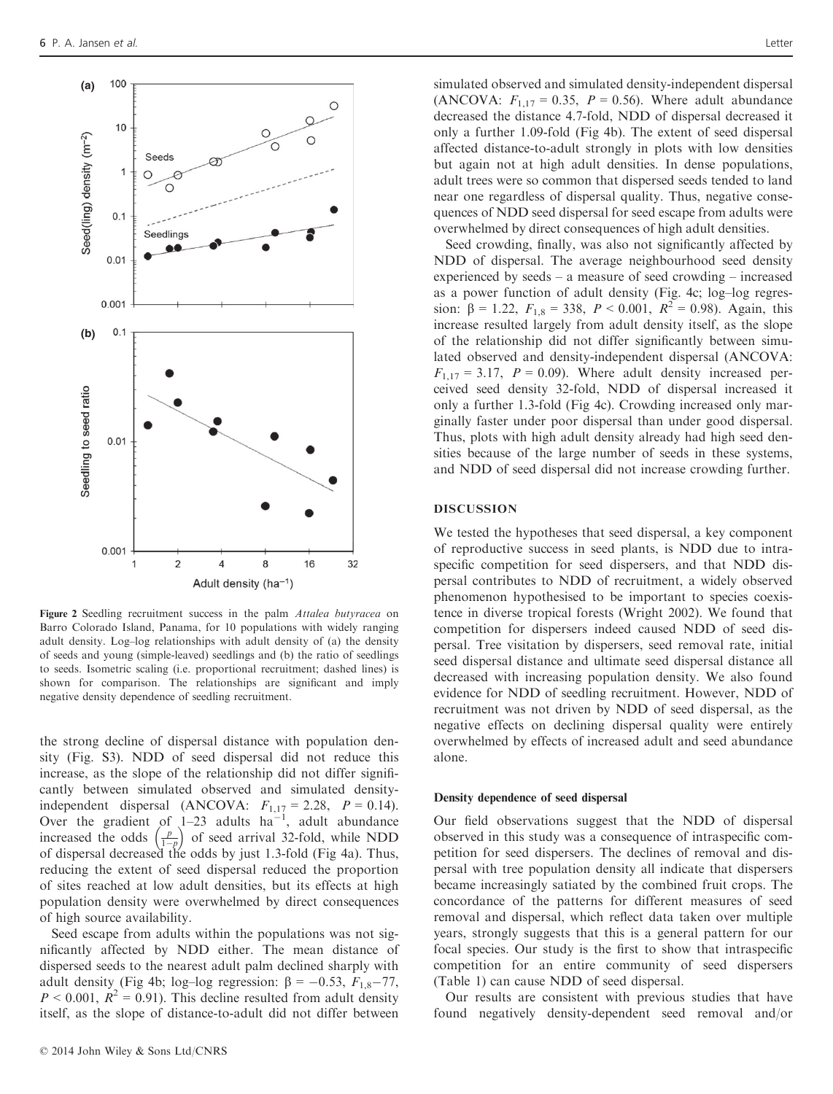

Figure 2 Seedling recruitment success in the palm Attalea butyracea on Barro Colorado Island, Panama, for 10 populations with widely ranging adult density. Log–log relationships with adult density of (a) the density of seeds and young (simple-leaved) seedlings and (b) the ratio of seedlings to seeds. Isometric scaling (i.e. proportional recruitment; dashed lines) is shown for comparison. The relationships are significant and imply negative density dependence of seedling recruitment.

the strong decline of dispersal distance with population density (Fig. S3). NDD of seed dispersal did not reduce this increase, as the slope of the relationship did not differ significantly between simulated observed and simulated densityindependent dispersal (ANCOVA:  $F_{1,17} = 2.28$ ,  $P = 0.14$ ). Over the gradient of  $1-23$  adults ha<sup>-1</sup>, adult abundance increased the odds  $\left(\frac{p}{1-p}\right)$  of seed arrival 32-fold, while NDD of dispersal decreased the odds by just 1.3-fold (Fig 4a). Thus, reducing the extent of seed dispersal reduced the proportion of sites reached at low adult densities, but its effects at high population density were overwhelmed by direct consequences of high source availability.

Seed escape from adults within the populations was not significantly affected by NDD either. The mean distance of dispersed seeds to the nearest adult palm declined sharply with adult density (Fig 4b; log-log regression:  $\beta = -0.53$ ,  $F_{1,8}$ -77,  $P < 0.001$ ,  $R^2 = 0.91$ ). This decline resulted from adult density itself, as the slope of distance-to-adult did not differ between

simulated observed and simulated density-independent dispersal (ANCOVA:  $F_{1,17} = 0.35$ ,  $P = 0.56$ ). Where adult abundance decreased the distance 4.7-fold, NDD of dispersal decreased it only a further 1.09-fold (Fig 4b). The extent of seed dispersal affected distance-to-adult strongly in plots with low densities but again not at high adult densities. In dense populations, adult trees were so common that dispersed seeds tended to land near one regardless of dispersal quality. Thus, negative consequences of NDD seed dispersal for seed escape from adults were overwhelmed by direct consequences of high adult densities.

Seed crowding, finally, was also not significantly affected by NDD of dispersal. The average neighbourhood seed density experienced by seeds – a measure of seed crowding – increased as a power function of adult density (Fig. 4c; log–log regression:  $\beta = 1.22$ ,  $F_{1,8} = 338$ ,  $P < 0.001$ ,  $R^2 = 0.98$ ). Again, this increase resulted largely from adult density itself, as the slope of the relationship did not differ significantly between simulated observed and density-independent dispersal (ANCOVA:  $F_{1,17} = 3.17$ ,  $P = 0.09$ ). Where adult density increased perceived seed density 32-fold, NDD of dispersal increased it only a further 1.3-fold (Fig 4c). Crowding increased only marginally faster under poor dispersal than under good dispersal. Thus, plots with high adult density already had high seed densities because of the large number of seeds in these systems, and NDD of seed dispersal did not increase crowding further.

#### DISCUSSION

We tested the hypotheses that seed dispersal, a key component of reproductive success in seed plants, is NDD due to intraspecific competition for seed dispersers, and that NDD dispersal contributes to NDD of recruitment, a widely observed phenomenon hypothesised to be important to species coexistence in diverse tropical forests (Wright 2002). We found that competition for dispersers indeed caused NDD of seed dispersal. Tree visitation by dispersers, seed removal rate, initial seed dispersal distance and ultimate seed dispersal distance all decreased with increasing population density. We also found evidence for NDD of seedling recruitment. However, NDD of recruitment was not driven by NDD of seed dispersal, as the negative effects on declining dispersal quality were entirely overwhelmed by effects of increased adult and seed abundance alone.

#### Density dependence of seed dispersal

Our field observations suggest that the NDD of dispersal observed in this study was a consequence of intraspecific competition for seed dispersers. The declines of removal and dispersal with tree population density all indicate that dispersers became increasingly satiated by the combined fruit crops. The concordance of the patterns for different measures of seed removal and dispersal, which reflect data taken over multiple years, strongly suggests that this is a general pattern for our focal species. Our study is the first to show that intraspecific competition for an entire community of seed dispersers (Table 1) can cause NDD of seed dispersal.

Our results are consistent with previous studies that have found negatively density-dependent seed removal and/or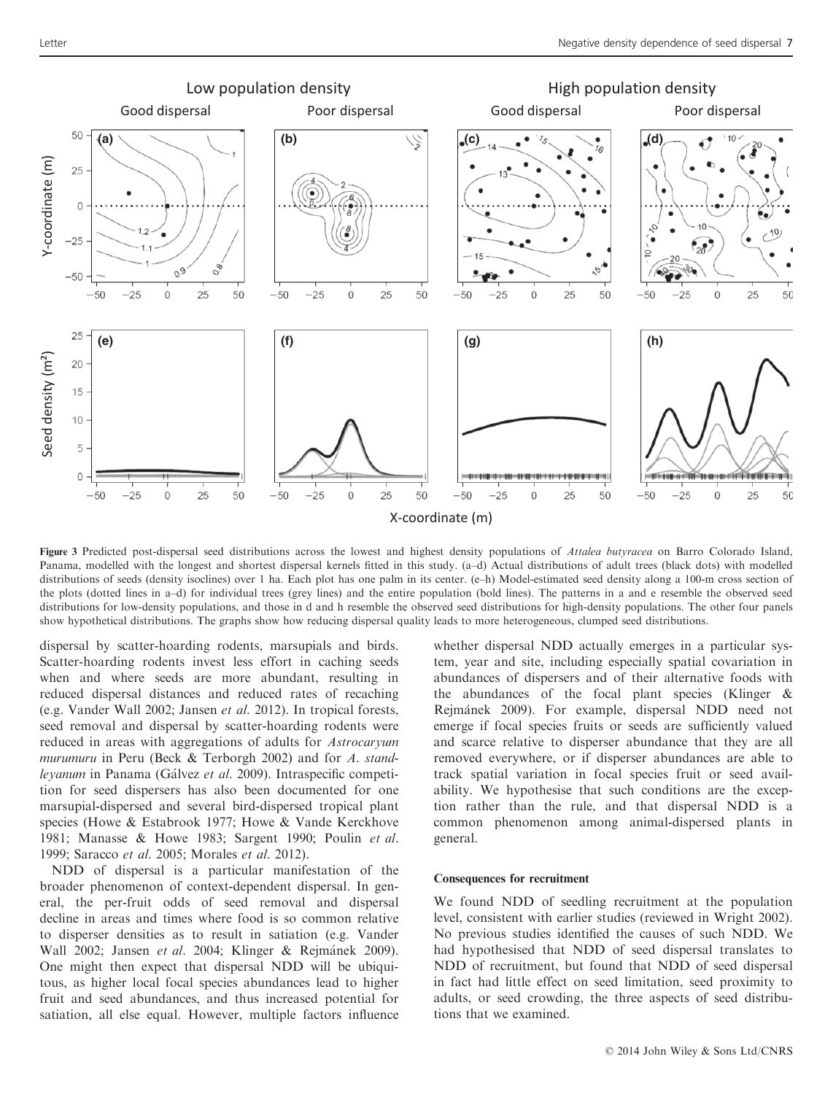

Figure 3 Predicted post-dispersal seed distributions across the lowest and highest density populations of Attalea butyracea on Barro Colorado Island, Panama, modelled with the longest and shortest dispersal kernels fitted in this study. (a–d) Actual distributions of adult trees (black dots) with modelled distributions of seeds (density isoclines) over 1 ha. Each plot has one palm in its center. (e–h) Model-estimated seed density along a 100-m cross section of the plots (dotted lines in a–d) for individual trees (grey lines) and the entire population (bold lines). The patterns in a and e resemble the observed seed distributions for low-density populations, and those in d and h resemble the observed seed distributions for high-density populations. The other four panels show hypothetical distributions. The graphs show how reducing dispersal quality leads to more heterogeneous, clumped seed distributions.

dispersal by scatter-hoarding rodents, marsupials and birds. Scatter-hoarding rodents invest less effort in caching seeds when and where seeds are more abundant, resulting in reduced dispersal distances and reduced rates of recaching (e.g. Vander Wall 2002; Jansen et al. 2012). In tropical forests, seed removal and dispersal by scatter-hoarding rodents were reduced in areas with aggregations of adults for Astrocaryum murumuru in Peru (Beck & Terborgh 2002) and for A. standleyanum in Panama (Gálvez et al. 2009). Intraspecific competition for seed dispersers has also been documented for one marsupial-dispersed and several bird-dispersed tropical plant species (Howe & Estabrook 1977; Howe & Vande Kerckhove 1981; Manasse & Howe 1983; Sargent 1990; Poulin et al. 1999; Saracco et al. 2005; Morales et al. 2012).

NDD of dispersal is a particular manifestation of the broader phenomenon of context-dependent dispersal. In general, the per-fruit odds of seed removal and dispersal decline in areas and times where food is so common relative to disperser densities as to result in satiation (e.g. Vander Wall 2002; Jansen et al. 2004; Klinger & Rejmánek 2009). One might then expect that dispersal NDD will be ubiquitous, as higher local focal species abundances lead to higher fruit and seed abundances, and thus increased potential for satiation, all else equal. However, multiple factors influence

whether dispersal NDD actually emerges in a particular system, year and site, including especially spatial covariation in abundances of dispersers and of their alternative foods with the abundances of the focal plant species (Klinger & Rejmanek 2009). For example, dispersal NDD need not emerge if focal species fruits or seeds are sufficiently valued and scarce relative to disperser abundance that they are all removed everywhere, or if disperser abundances are able to track spatial variation in focal species fruit or seed availability. We hypothesise that such conditions are the exception rather than the rule, and that dispersal NDD is a common phenomenon among animal-dispersed plants in general.

#### Consequences for recruitment

We found NDD of seedling recruitment at the population level, consistent with earlier studies (reviewed in Wright 2002). No previous studies identified the causes of such NDD. We had hypothesised that NDD of seed dispersal translates to NDD of recruitment, but found that NDD of seed dispersal in fact had little effect on seed limitation, seed proximity to adults, or seed crowding, the three aspects of seed distributions that we examined.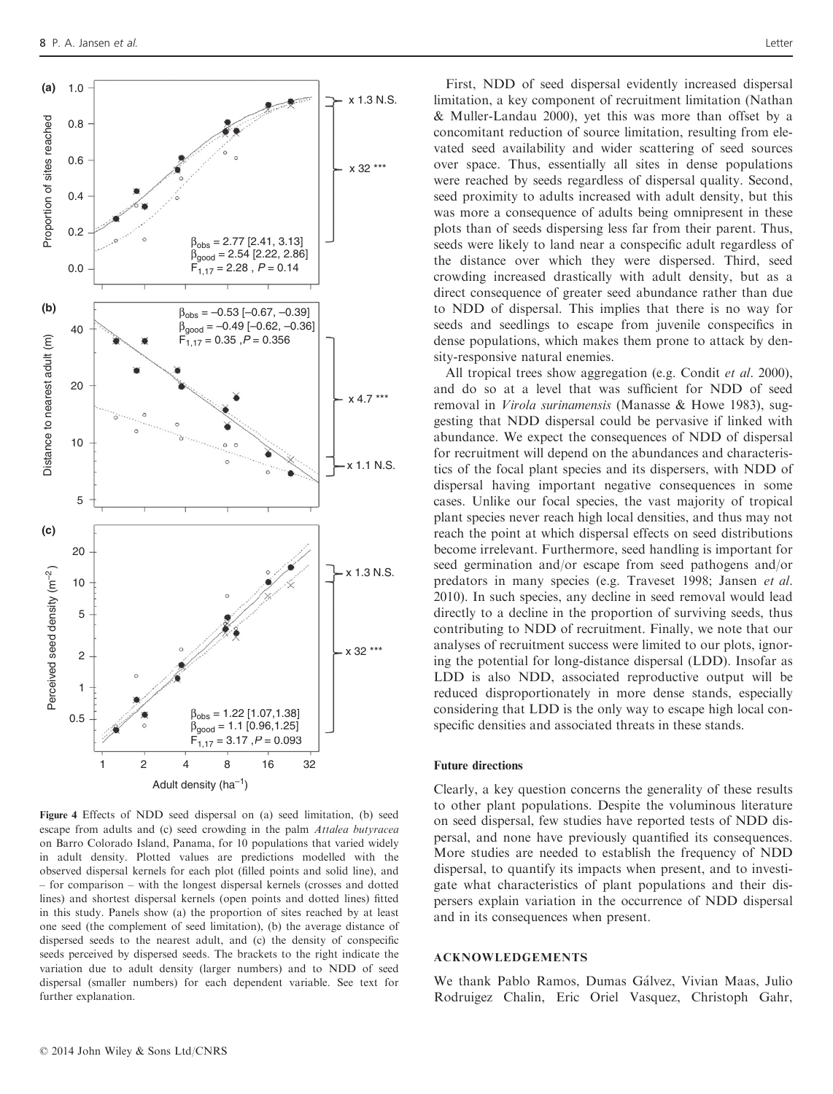

Figure 4 Effects of NDD seed dispersal on (a) seed limitation, (b) seed escape from adults and (c) seed crowding in the palm Attalea butyracea on Barro Colorado Island, Panama, for 10 populations that varied widely in adult density. Plotted values are predictions modelled with the observed dispersal kernels for each plot (filled points and solid line), and – for comparison – with the longest dispersal kernels (crosses and dotted lines) and shortest dispersal kernels (open points and dotted lines) fitted in this study. Panels show (a) the proportion of sites reached by at least one seed (the complement of seed limitation), (b) the average distance of dispersed seeds to the nearest adult, and (c) the density of conspecific seeds perceived by dispersed seeds. The brackets to the right indicate the variation due to adult density (larger numbers) and to NDD of seed dispersal (smaller numbers) for each dependent variable. See text for further explanation.

First, NDD of seed dispersal evidently increased dispersal limitation, a key component of recruitment limitation (Nathan & Muller-Landau 2000), yet this was more than offset by a concomitant reduction of source limitation, resulting from elevated seed availability and wider scattering of seed sources over space. Thus, essentially all sites in dense populations were reached by seeds regardless of dispersal quality. Second, seed proximity to adults increased with adult density, but this was more a consequence of adults being omnipresent in these plots than of seeds dispersing less far from their parent. Thus, seeds were likely to land near a conspecific adult regardless of the distance over which they were dispersed. Third, seed crowding increased drastically with adult density, but as a direct consequence of greater seed abundance rather than due to NDD of dispersal. This implies that there is no way for seeds and seedlings to escape from juvenile conspecifics in dense populations, which makes them prone to attack by density-responsive natural enemies.

All tropical trees show aggregation (e.g. Condit *et al.* 2000), and do so at a level that was sufficient for NDD of seed removal in Virola surinamensis (Manasse & Howe 1983), suggesting that NDD dispersal could be pervasive if linked with abundance. We expect the consequences of NDD of dispersal for recruitment will depend on the abundances and characteristics of the focal plant species and its dispersers, with NDD of dispersal having important negative consequences in some cases. Unlike our focal species, the vast majority of tropical plant species never reach high local densities, and thus may not reach the point at which dispersal effects on seed distributions become irrelevant. Furthermore, seed handling is important for seed germination and/or escape from seed pathogens and/or predators in many species (e.g. Traveset 1998; Jansen et al. 2010). In such species, any decline in seed removal would lead directly to a decline in the proportion of surviving seeds, thus contributing to NDD of recruitment. Finally, we note that our analyses of recruitment success were limited to our plots, ignoring the potential for long-distance dispersal (LDD). Insofar as LDD is also NDD, associated reproductive output will be reduced disproportionately in more dense stands, especially considering that LDD is the only way to escape high local conspecific densities and associated threats in these stands.

#### Future directions

Clearly, a key question concerns the generality of these results to other plant populations. Despite the voluminous literature on seed dispersal, few studies have reported tests of NDD dispersal, and none have previously quantified its consequences. More studies are needed to establish the frequency of NDD dispersal, to quantify its impacts when present, and to investigate what characteristics of plant populations and their dispersers explain variation in the occurrence of NDD dispersal and in its consequences when present.

#### ACKNOWLEDGEMENTS

We thank Pablo Ramos, Dumas Galvez, Vivian Maas, Julio Rodruigez Chalin, Eric Oriel Vasquez, Christoph Gahr,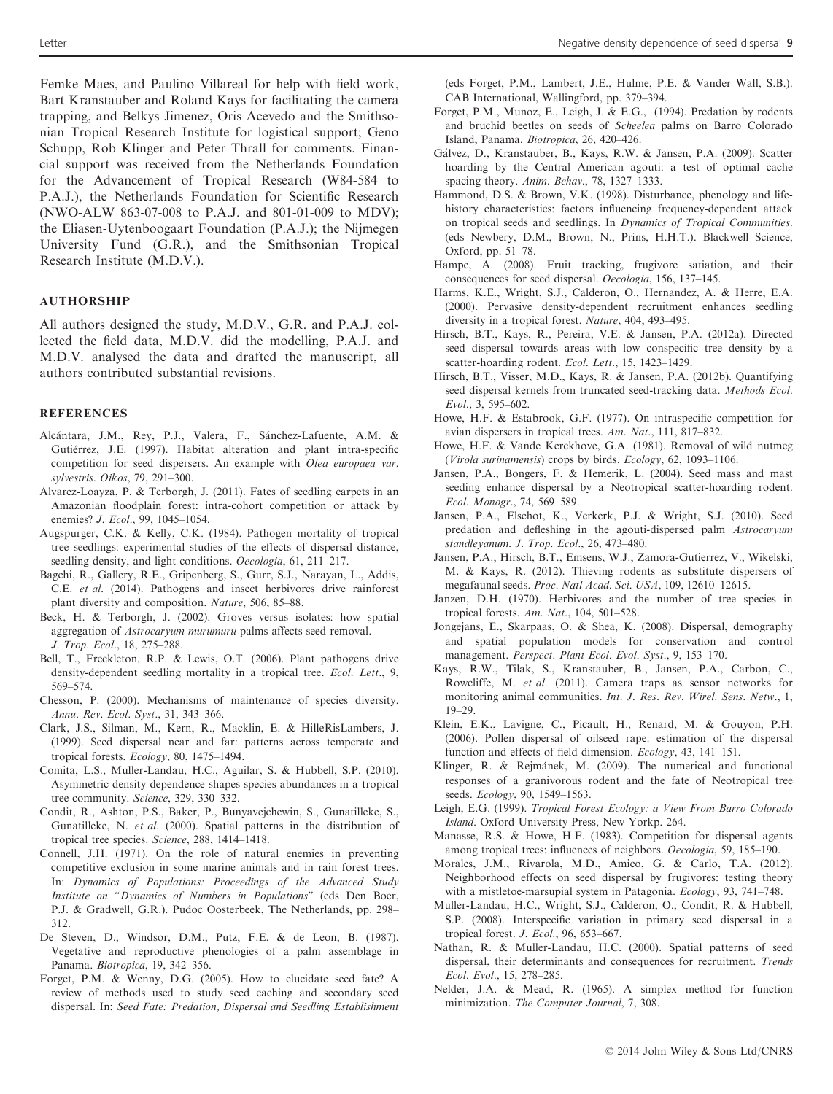Femke Maes, and Paulino Villareal for help with field work, Bart Kranstauber and Roland Kays for facilitating the camera trapping, and Belkys Jimenez, Oris Acevedo and the Smithsonian Tropical Research Institute for logistical support; Geno Schupp, Rob Klinger and Peter Thrall for comments. Financial support was received from the Netherlands Foundation for the Advancement of Tropical Research (W84-584 to P.A.J.), the Netherlands Foundation for Scientific Research (NWO-ALW 863-07-008 to P.A.J. and 801-01-009 to MDV); the Eliasen-Uytenboogaart Foundation (P.A.J.); the Nijmegen University Fund (G.R.), and the Smithsonian Tropical Research Institute (M.D.V.).

#### AUTHORSHIP

All authors designed the study, M.D.V., G.R. and P.A.J. collected the field data, M.D.V. did the modelling, P.A.J. and M.D.V. analysed the data and drafted the manuscript, all authors contributed substantial revisions.

## **REFERENCES**

- Alcántara, J.M., Rey, P.J., Valera, F., Sánchez-Lafuente, A.M. & Gutiérrez, J.E. (1997). Habitat alteration and plant intra-specific competition for seed dispersers. An example with Olea europaea var. sylvestris. Oikos, 79, 291–300.
- Alvarez-Loayza, P. & Terborgh, J. (2011). Fates of seedling carpets in an Amazonian floodplain forest: intra-cohort competition or attack by enemies? J. Ecol., 99, 1045–1054.
- Augspurger, C.K. & Kelly, C.K. (1984). Pathogen mortality of tropical tree seedlings: experimental studies of the effects of dispersal distance, seedling density, and light conditions. Oecologia, 61, 211–217.
- Bagchi, R., Gallery, R.E., Gripenberg, S., Gurr, S.J., Narayan, L., Addis, C.E. et al. (2014). Pathogens and insect herbivores drive rainforest plant diversity and composition. Nature, 506, 85–88.
- Beck, H. & Terborgh, J. (2002). Groves versus isolates: how spatial aggregation of Astrocaryum murumuru palms affects seed removal. J. Trop. Ecol., 18, 275–288.
- Bell, T., Freckleton, R.P. & Lewis, O.T. (2006). Plant pathogens drive density-dependent seedling mortality in a tropical tree. Ecol. Lett., 9, 569–574.
- Chesson, P. (2000). Mechanisms of maintenance of species diversity. Annu. Rev. Ecol. Syst., 31, 343–366.
- Clark, J.S., Silman, M., Kern, R., Macklin, E. & HilleRisLambers, J. (1999). Seed dispersal near and far: patterns across temperate and tropical forests. Ecology, 80, 1475–1494.
- Comita, L.S., Muller-Landau, H.C., Aguilar, S. & Hubbell, S.P. (2010). Asymmetric density dependence shapes species abundances in a tropical tree community. Science, 329, 330–332.
- Condit, R., Ashton, P.S., Baker, P., Bunyavejchewin, S., Gunatilleke, S., Gunatilleke, N. et al. (2000). Spatial patterns in the distribution of tropical tree species. Science, 288, 1414–1418.
- Connell, J.H. (1971). On the role of natural enemies in preventing competitive exclusion in some marine animals and in rain forest trees. In: Dynamics of Populations: Proceedings of the Advanced Study Institute on "Dynamics of Numbers in Populations" (eds Den Boer, P.J. & Gradwell, G.R.). Pudoc Oosterbeek, The Netherlands, pp. 298– 312.
- De Steven, D., Windsor, D.M., Putz, F.E. & de Leon, B. (1987). Vegetative and reproductive phenologies of a palm assemblage in Panama. Biotropica, 19, 342–356.
- Forget, P.M. & Wenny, D.G. (2005). How to elucidate seed fate? A review of methods used to study seed caching and secondary seed dispersal. In: Seed Fate: Predation, Dispersal and Seedling Establishment

(eds Forget, P.M., Lambert, J.E., Hulme, P.E. & Vander Wall, S.B.). CAB International, Wallingford, pp. 379–394.

- Forget, P.M., Munoz, E., Leigh, J. & E.G., (1994). Predation by rodents and bruchid beetles on seeds of Scheelea palms on Barro Colorado Island, Panama. Biotropica, 26, 420–426.
- Galvez, D., Kranstauber, B., Kays, R.W. & Jansen, P.A. (2009). Scatter hoarding by the Central American agouti: a test of optimal cache spacing theory. Anim. Behav., 78, 1327–1333.
- Hammond, D.S. & Brown, V.K. (1998). Disturbance, phenology and lifehistory characteristics: factors influencing frequency-dependent attack on tropical seeds and seedlings. In Dynamics of Tropical Communities. (eds Newbery, D.M., Brown, N., Prins, H.H.T.). Blackwell Science, Oxford, pp. 51–78.
- Hampe, A. (2008). Fruit tracking, frugivore satiation, and their consequences for seed dispersal. Oecologia, 156, 137–145.
- Harms, K.E., Wright, S.J., Calderon, O., Hernandez, A. & Herre, E.A. (2000). Pervasive density-dependent recruitment enhances seedling diversity in a tropical forest. Nature, 404, 493–495.
- Hirsch, B.T., Kays, R., Pereira, V.E. & Jansen, P.A. (2012a). Directed seed dispersal towards areas with low conspecific tree density by a scatter-hoarding rodent. Ecol. Lett., 15, 1423–1429.
- Hirsch, B.T., Visser, M.D., Kays, R. & Jansen, P.A. (2012b). Quantifying seed dispersal kernels from truncated seed-tracking data. Methods Ecol. Evol., 3, 595–602.
- Howe, H.F. & Estabrook, G.F. (1977). On intraspecific competition for avian dispersers in tropical trees. Am. Nat., 111, 817–832.
- Howe, H.F. & Vande Kerckhove, G.A. (1981). Removal of wild nutmeg (Virola surinamensis) crops by birds. Ecology, 62, 1093–1106.
- Jansen, P.A., Bongers, F. & Hemerik, L. (2004). Seed mass and mast seeding enhance dispersal by a Neotropical scatter-hoarding rodent. Ecol. Monogr., 74, 569–589.
- Jansen, P.A., Elschot, K., Verkerk, P.J. & Wright, S.J. (2010). Seed predation and defleshing in the agouti-dispersed palm Astrocaryum standleyanum. J. Trop. Ecol., 26, 473–480.
- Jansen, P.A., Hirsch, B.T., Emsens, W.J., Zamora-Gutierrez, V., Wikelski, M. & Kays, R. (2012). Thieving rodents as substitute dispersers of megafaunal seeds. Proc. Natl Acad. Sci. USA, 109, 12610–12615.
- Janzen, D.H. (1970). Herbivores and the number of tree species in tropical forests. Am. Nat., 104, 501–528.
- Jongejans, E., Skarpaas, O. & Shea, K. (2008). Dispersal, demography and spatial population models for conservation and control management. Perspect. Plant Ecol. Evol. Syst., 9, 153–170.
- Kays, R.W., Tilak, S., Kranstauber, B., Jansen, P.A., Carbon, C., Rowcliffe, M. et al. (2011). Camera traps as sensor networks for monitoring animal communities. Int. J. Res. Rev. Wirel. Sens. Netw., 1, 19–29.
- Klein, E.K., Lavigne, C., Picault, H., Renard, M. & Gouyon, P.H. (2006). Pollen dispersal of oilseed rape: estimation of the dispersal function and effects of field dimension. Ecology, 43, 141–151.
- Klinger, R. & Rejmánek, M. (2009). The numerical and functional responses of a granivorous rodent and the fate of Neotropical tree seeds. Ecology, 90, 1549–1563.
- Leigh, E.G. (1999). Tropical Forest Ecology: a View From Barro Colorado Island. Oxford University Press, New Yorkp. 264.
- Manasse, R.S. & Howe, H.F. (1983). Competition for dispersal agents among tropical trees: influences of neighbors. Oecologia, 59, 185–190.
- Morales, J.M., Rivarola, M.D., Amico, G. & Carlo, T.A. (2012). Neighborhood effects on seed dispersal by frugivores: testing theory with a mistletoe-marsupial system in Patagonia. *Ecology*, 93, 741–748.
- Muller-Landau, H.C., Wright, S.J., Calderon, O., Condit, R. & Hubbell, S.P. (2008). Interspecific variation in primary seed dispersal in a tropical forest. J. Ecol., 96, 653–667.
- Nathan, R. & Muller-Landau, H.C. (2000). Spatial patterns of seed dispersal, their determinants and consequences for recruitment. Trends Ecol. Evol., 15, 278–285.
- Nelder, J.A. & Mead, R. (1965). A simplex method for function minimization. The Computer Journal, 7, 308.